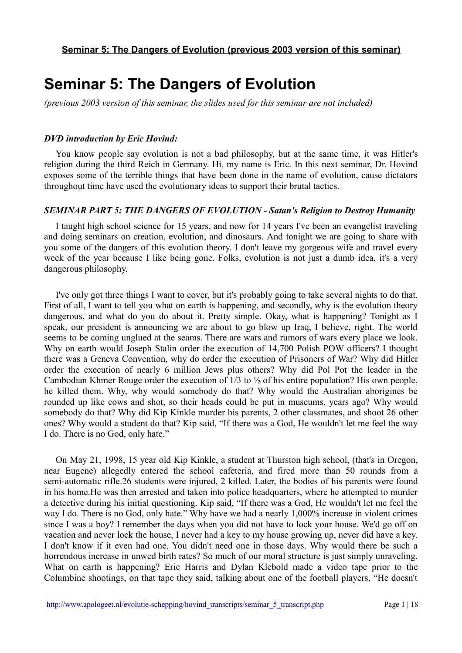# **Seminar 5: The Dangers of Evolution**

*(previous 2003 version of this seminar, the slides used for this seminar are not included)*

#### *DVD introduction by Eric Hovind:*

You know people say evolution is not a bad philosophy, but at the same time, it was Hitler's religion during the third Reich in Germany. Hi, my name is Eric. In this next seminar, Dr. Hovind exposes some of the terrible things that have been done in the name of evolution, cause dictators throughout time have used the evolutionary ideas to support their brutal tactics.

#### *SEMINAR PART 5: THE DANGERS OF EVOLUTION - Satan's Religion to Destroy Humanity*

I taught high school science for 15 years, and now for 14 years I've been an evangelist traveling and doing seminars on creation, evolution, and dinosaurs. And tonight we are going to share with you some of the dangers of this evolution theory. I don't leave my gorgeous wife and travel every week of the year because I like being gone. Folks, evolution is not just a dumb idea, it's a very dangerous philosophy.

I've only got three things I want to cover, but it's probably going to take several nights to do that. First of all, I want to tell you what on earth is happening, and secondly, why is the evolution theory dangerous, and what do you do about it. Pretty simple. Okay, what is happening? Tonight as I speak, our president is announcing we are about to go blow up Iraq, I believe, right. The world seems to be coming unglued at the seams. There are wars and rumors of wars every place we look. Why on earth would Joseph Stalin order the execution of 14,700 Polish POW officers? I thought there was a Geneva Convention, why do order the execution of Prisoners of War? Why did Hitler order the execution of nearly 6 million Jews plus others? Why did Pol Pot the leader in the Cambodian Khmer Rouge order the execution of 1/3 to ½ of his entire population? His own people, he killed them. Why, why would somebody do that? Why would the Australian aborigines be rounded up like cows and shot, so their heads could be put in museums, years ago? Why would somebody do that? Why did Kip Kinkle murder his parents, 2 other classmates, and shoot 26 other ones? Why would a student do that? Kip said, "If there was a God, He wouldn't let me feel the way I do. There is no God, only hate."

On May 21, 1998, 15 year old Kip Kinkle, a student at Thurston high school, (that's in Oregon, near Eugene) allegedly entered the school cafeteria, and fired more than 50 rounds from a semi-automatic rifle.26 students were injured, 2 killed. Later, the bodies of his parents were found in his home.He was then arrested and taken into police headquarters, where he attempted to murder a detective during his initial questioning. Kip said, "If there was a God, He wouldn't let me feel the way I do. There is no God, only hate." Why have we had a nearly 1,000% increase in violent crimes since I was a boy? I remember the days when you did not have to lock your house. We'd go off on vacation and never lock the house, I never had a key to my house growing up, never did have a key. I don't know if it even had one. You didn't need one in those days. Why would there be such a horrendous increase in unwed birth rates? So much of our moral structure is just simply unraveling. What on earth is happening? Eric Harris and Dylan Klebold made a video tape prior to the Columbine shootings, on that tape they said, talking about one of the football players, "He doesn't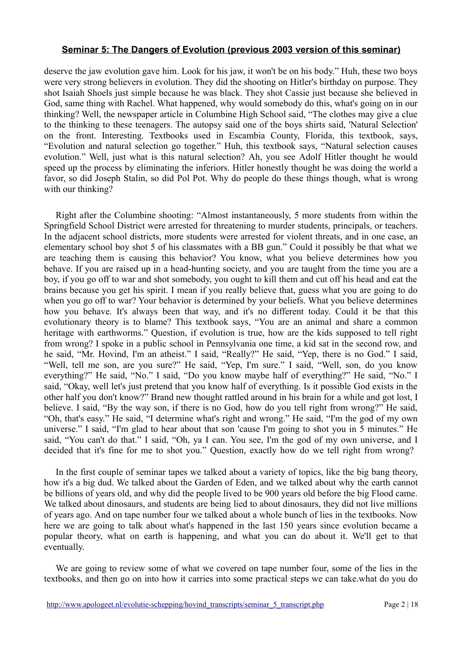deserve the jaw evolution gave him. Look for his jaw, it won't be on his body." Huh, these two boys were very strong believers in evolution. They did the shooting on Hitler's birthday on purpose. They shot Isaiah Shoels just simple because he was black. They shot Cassie just because she believed in God, same thing with Rachel. What happened, why would somebody do this, what's going on in our thinking? Well, the newspaper article in Columbine High School said, "The clothes may give a clue to the thinking to these teenagers. The autopsy said one of the boys shirts said, 'Natural Selection' on the front. Interesting. Textbooks used in Escambia County, Florida, this textbook, says, "Evolution and natural selection go together." Huh, this textbook says, "Natural selection causes evolution." Well, just what is this natural selection? Ah, you see Adolf Hitler thought he would speed up the process by eliminating the inferiors. Hitler honestly thought he was doing the world a favor, so did Joseph Stalin, so did Pol Pot. Why do people do these things though, what is wrong with our thinking?

Right after the Columbine shooting: "Almost instantaneously, 5 more students from within the Springfield School District were arrested for threatening to murder students, principals, or teachers. In the adjacent school districts, more students were arrested for violent threats, and in one case, an elementary school boy shot 5 of his classmates with a BB gun." Could it possibly be that what we are teaching them is causing this behavior? You know, what you believe determines how you behave. If you are raised up in a head-hunting society, and you are taught from the time you are a boy, if you go off to war and shot somebody, you ought to kill them and cut off his head and eat the brains because you get his spirit. I mean if you really believe that, guess what you are going to do when you go off to war? Your behavior is determined by your beliefs. What you believe determines how you behave. It's always been that way, and it's no different today. Could it be that this evolutionary theory is to blame? This textbook says, "You are an animal and share a common heritage with earthworms." Question, if evolution is true, how are the kids supposed to tell right from wrong? I spoke in a public school in Pennsylvania one time, a kid sat in the second row, and he said, "Mr. Hovind, I'm an atheist." I said, "Really?" He said, "Yep, there is no God." I said, "Well, tell me son, are you sure?" He said, "Yep, I'm sure." I said, "Well, son, do you know everything?" He said, "No." I said, "Do you know maybe half of everything?" He said, "No." I said, "Okay, well let's just pretend that you know half of everything. Is it possible God exists in the other half you don't know?" Brand new thought rattled around in his brain for a while and got lost, I believe. I said, "By the way son, if there is no God, how do you tell right from wrong?" He said, "Oh, that's easy." He said, "I determine what's right and wrong." He said, "I'm the god of my own universe." I said, "I'm glad to hear about that son 'cause I'm going to shot you in 5 minutes." He said, "You can't do that." I said, "Oh, ya I can. You see, I'm the god of my own universe, and I decided that it's fine for me to shot you." Question, exactly how do we tell right from wrong?

In the first couple of seminar tapes we talked about a variety of topics, like the big bang theory, how it's a big dud. We talked about the Garden of Eden, and we talked about why the earth cannot be billions of years old, and why did the people lived to be 900 years old before the big Flood came. We talked about dinosaurs, and students are being lied to about dinosaurs, they did not live millions of years ago. And on tape number four we talked about a whole bunch of lies in the textbooks. Now here we are going to talk about what's happened in the last 150 years since evolution became a popular theory, what on earth is happening, and what you can do about it. We'll get to that eventually.

We are going to review some of what we covered on tape number four, some of the lies in the textbooks, and then go on into how it carries into some practical steps we can take.what do you do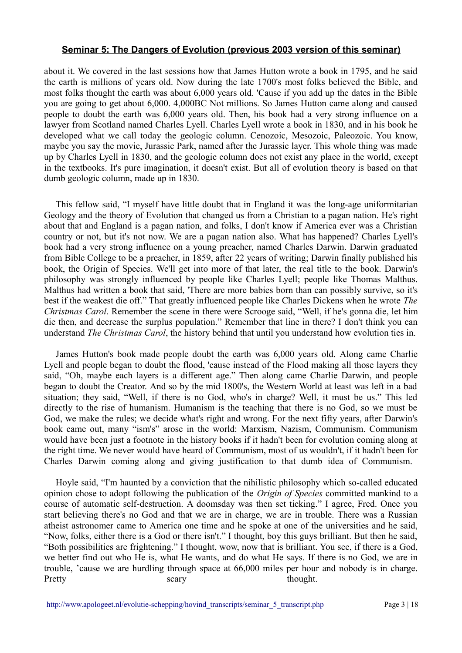about it. We covered in the last sessions how that James Hutton wrote a book in 1795, and he said the earth is millions of years old. Now during the late 1700's most folks believed the Bible, and most folks thought the earth was about 6,000 years old. 'Cause if you add up the dates in the Bible you are going to get about 6,000. 4,000BC Not millions. So James Hutton came along and caused people to doubt the earth was 6,000 years old. Then, his book had a very strong influence on a lawyer from Scotland named Charles Lyell. Charles Lyell wrote a book in 1830, and in his book he developed what we call today the geologic column. Cenozoic, Mesozoic, Paleozoic. You know, maybe you say the movie, Jurassic Park, named after the Jurassic layer. This whole thing was made up by Charles Lyell in 1830, and the geologic column does not exist any place in the world, except in the textbooks. It's pure imagination, it doesn't exist. But all of evolution theory is based on that dumb geologic column, made up in 1830.

This fellow said, "I myself have little doubt that in England it was the long-age uniformitarian Geology and the theory of Evolution that changed us from a Christian to a pagan nation. He's right about that and England is a pagan nation, and folks, I don't know if America ever was a Christian country or not, but it's not now. We are a pagan nation also. What has happened? Charles Lyell's book had a very strong influence on a young preacher, named Charles Darwin. Darwin graduated from Bible College to be a preacher, in 1859, after 22 years of writing; Darwin finally published his book, the Origin of Species. We'll get into more of that later, the real title to the book. Darwin's philosophy was strongly influenced by people like Charles Lyell; people like Thomas Malthus. Malthus had written a book that said, 'There are more babies born than can possibly survive, so it's best if the weakest die off." That greatly influenced people like Charles Dickens when he wrote *The Christmas Carol*. Remember the scene in there were Scrooge said, "Well, if he's gonna die, let him die then, and decrease the surplus population." Remember that line in there? I don't think you can understand *The Christmas Carol*, the history behind that until you understand how evolution ties in.

James Hutton's book made people doubt the earth was 6,000 years old. Along came Charlie Lyell and people began to doubt the flood, 'cause instead of the Flood making all those layers they said, "Oh, maybe each layers is a different age." Then along came Charlie Darwin, and people began to doubt the Creator. And so by the mid 1800's, the Western World at least was left in a bad situation; they said, "Well, if there is no God, who's in charge? Well, it must be us." This led directly to the rise of humanism. Humanism is the teaching that there is no God, so we must be God, we make the rules; we decide what's right and wrong. For the next fifty years, after Darwin's book came out, many "ism's" arose in the world: Marxism, Nazism, Communism. Communism would have been just a footnote in the history books if it hadn't been for evolution coming along at the right time. We never would have heard of Communism, most of us wouldn't, if it hadn't been for Charles Darwin coming along and giving justification to that dumb idea of Communism.

Hoyle said, "I'm haunted by a conviction that the nihilistic philosophy which so-called educated opinion chose to adopt following the publication of the *Origin of Species* committed mankind to a course of automatic self-destruction. A doomsday was then set ticking." I agree, Fred. Once you start believing there's no God and that we are in charge, we are in trouble. There was a Russian atheist astronomer came to America one time and he spoke at one of the universities and he said, "Now, folks, either there is a God or there isn't." I thought, boy this guys brilliant. But then he said, "Both possibilities are frightening." I thought, wow, now that is brilliant. You see, if there is a God, we better find out who He is, what He wants, and do what He says. If there is no God, we are in trouble, 'cause we are hurdling through space at 66,000 miles per hour and nobody is in charge. Pretty scary scary thought.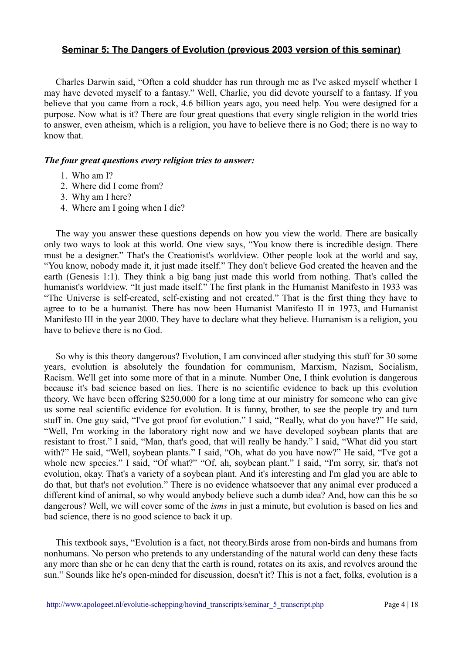Charles Darwin said, "Often a cold shudder has run through me as I've asked myself whether I may have devoted myself to a fantasy." Well, Charlie, you did devote yourself to a fantasy. If you believe that you came from a rock, 4.6 billion years ago, you need help. You were designed for a purpose. Now what is it? There are four great questions that every single religion in the world tries to answer, even atheism, which is a religion, you have to believe there is no God; there is no way to know that.

#### *The four great questions every religion tries to answer:*

- 1. Who am I?
- 2. Where did I come from?
- 3. Why am I here?
- 4. Where am I going when I die?

The way you answer these questions depends on how you view the world. There are basically only two ways to look at this world. One view says, "You know there is incredible design. There must be a designer." That's the Creationist's worldview. Other people look at the world and say, "You know, nobody made it, it just made itself." They don't believe God created the heaven and the earth (Genesis 1:1). They think a big bang just made this world from nothing. That's called the humanist's worldview. "It just made itself." The first plank in the Humanist Manifesto in 1933 was "The Universe is self-created, self-existing and not created." That is the first thing they have to agree to to be a humanist. There has now been Humanist Manifesto II in 1973, and Humanist Manifesto III in the year 2000. They have to declare what they believe. Humanism is a religion, you have to believe there is no God.

So why is this theory dangerous? Evolution, I am convinced after studying this stuff for 30 some years, evolution is absolutely the foundation for communism, Marxism, Nazism, Socialism, Racism. We'll get into some more of that in a minute. Number One, I think evolution is dangerous because it's bad science based on lies. There is no scientific evidence to back up this evolution theory. We have been offering \$250,000 for a long time at our ministry for someone who can give us some real scientific evidence for evolution. It is funny, brother, to see the people try and turn stuff in. One guy said, "I've got proof for evolution." I said, "Really, what do you have?" He said, "Well, I'm working in the laboratory right now and we have developed soybean plants that are resistant to frost." I said, "Man, that's good, that will really be handy." I said, "What did you start with?" He said, "Well, soybean plants." I said, "Oh, what do you have now?" He said, "I've got a whole new species." I said, "Of what?" "Of, ah, soybean plant." I said, "I'm sorry, sir, that's not evolution, okay. That's a variety of a soybean plant. And it's interesting and I'm glad you are able to do that, but that's not evolution." There is no evidence whatsoever that any animal ever produced a different kind of animal, so why would anybody believe such a dumb idea? And, how can this be so dangerous? Well, we will cover some of the *isms* in just a minute, but evolution is based on lies and bad science, there is no good science to back it up.

This textbook says, "Evolution is a fact, not theory.Birds arose from non-birds and humans from nonhumans. No person who pretends to any understanding of the natural world can deny these facts any more than she or he can deny that the earth is round, rotates on its axis, and revolves around the sun." Sounds like he's open-minded for discussion, doesn't it? This is not a fact, folks, evolution is a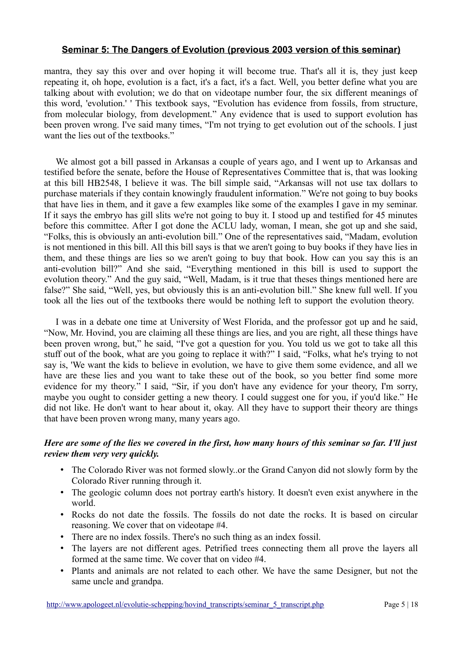mantra, they say this over and over hoping it will become true. That's all it is, they just keep repeating it, oh hope, evolution is a fact, it's a fact, it's a fact. Well, you better define what you are talking about with evolution; we do that on videotape number four, the six different meanings of this word, 'evolution.' ' This textbook says, "Evolution has evidence from fossils, from structure, from molecular biology, from development." Any evidence that is used to support evolution has been proven wrong. I've said many times, "I'm not trying to get evolution out of the schools. I just want the lies out of the textbooks."

We almost got a bill passed in Arkansas a couple of years ago, and I went up to Arkansas and testified before the senate, before the House of Representatives Committee that is, that was looking at this bill HB2548, I believe it was. The bill simple said, "Arkansas will not use tax dollars to purchase materials if they contain knowingly fraudulent information." We're not going to buy books that have lies in them, and it gave a few examples like some of the examples I gave in my seminar. If it says the embryo has gill slits we're not going to buy it. I stood up and testified for 45 minutes before this committee. After I got done the ACLU lady, woman, I mean, she got up and she said, "Folks, this is obviously an anti-evolution bill." One of the representatives said, "Madam, evolution is not mentioned in this bill. All this bill says is that we aren't going to buy books if they have lies in them, and these things are lies so we aren't going to buy that book. How can you say this is an anti-evolution bill?" And she said, "Everything mentioned in this bill is used to support the evolution theory." And the guy said, "Well, Madam, is it true that theses things mentioned here are false?" She said, "Well, yes, but obviously this is an anti-evolution bill." She knew full well. If you took all the lies out of the textbooks there would be nothing left to support the evolution theory.

I was in a debate one time at University of West Florida, and the professor got up and he said, "Now, Mr. Hovind, you are claiming all these things are lies, and you are right, all these things have been proven wrong, but," he said, "I've got a question for you. You told us we got to take all this stuff out of the book, what are you going to replace it with?" I said, "Folks, what he's trying to not say is, 'We want the kids to believe in evolution, we have to give them some evidence, and all we have are these lies and you want to take these out of the book, so you better find some more evidence for my theory." I said, "Sir, if you don't have any evidence for your theory, I'm sorry, maybe you ought to consider getting a new theory. I could suggest one for you, if you'd like." He did not like. He don't want to hear about it, okay. All they have to support their theory are things that have been proven wrong many, many years ago.

### *Here are some of the lies we covered in the first, how many hours of this seminar so far. I'll just review them very very quickly.*

- The Colorado River was not formed slowly..or the Grand Canyon did not slowly form by the Colorado River running through it.
- The geologic column does not portray earth's history. It doesn't even exist anywhere in the world.
- Rocks do not date the fossils. The fossils do not date the rocks. It is based on circular reasoning. We cover that on videotape #4.
- There are no index fossils. There's no such thing as an index fossil.
- The layers are not different ages. Petrified trees connecting them all prove the layers all formed at the same time. We cover that on video #4.
- Plants and animals are not related to each other. We have the same Designer, but not the same uncle and grandpa.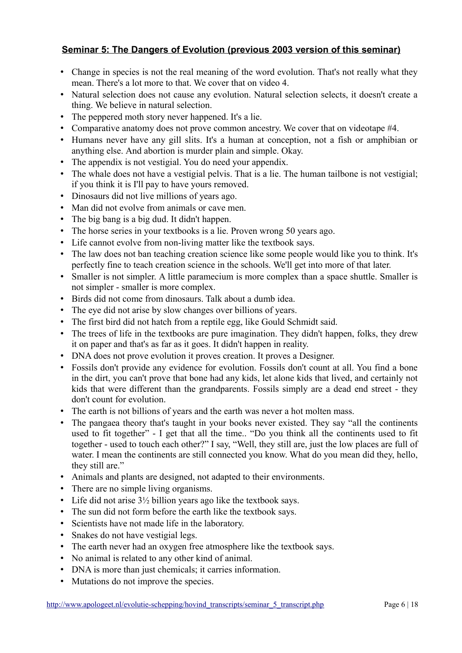- Change in species is not the real meaning of the word evolution. That's not really what they mean. There's a lot more to that. We cover that on video 4.
- Natural selection does not cause any evolution. Natural selection selects, it doesn't create a thing. We believe in natural selection.
- The peppered moth story never happened. It's a lie.
- Comparative anatomy does not prove common ancestry. We cover that on videotape #4.
- Humans never have any gill slits. It's a human at conception, not a fish or amphibian or anything else. And abortion is murder plain and simple. Okay.
- The appendix is not vestigial. You do need your appendix.
- The whale does not have a vestigial pelvis. That is a lie. The human tailbone is not vestigial; if you think it is I'll pay to have yours removed.
- Dinosaurs did not live millions of years ago.
- Man did not evolve from animals or cave men.
- The big bang is a big dud. It didn't happen.
- The horse series in your textbooks is a lie. Proven wrong 50 years ago.
- Life cannot evolve from non-living matter like the textbook says.
- The law does not ban teaching creation science like some people would like you to think. It's perfectly fine to teach creation science in the schools. We'll get into more of that later.
- Smaller is not simpler. A little paramecium is more complex than a space shuttle. Smaller is not simpler - smaller is more complex.
- Birds did not come from dinosaurs. Talk about a dumb idea.
- The eye did not arise by slow changes over billions of years.
- The first bird did not hatch from a reptile egg, like Gould Schmidt said.
- The trees of life in the textbooks are pure imagination. They didn't happen, folks, they drew it on paper and that's as far as it goes. It didn't happen in reality.
- DNA does not prove evolution it proves creation. It proves a Designer.
- Fossils don't provide any evidence for evolution. Fossils don't count at all. You find a bone in the dirt, you can't prove that bone had any kids, let alone kids that lived, and certainly not kids that were different than the grandparents. Fossils simply are a dead end street - they don't count for evolution.
- The earth is not billions of years and the earth was never a hot molten mass.
- The pangaea theory that's taught in your books never existed. They say "all the continents used to fit together" - I get that all the time.. "Do you think all the continents used to fit together - used to touch each other?" I say, "Well, they still are, just the low places are full of water. I mean the continents are still connected you know. What do you mean did they, hello, they still are."
- Animals and plants are designed, not adapted to their environments.
- There are no simple living organisms.
- Life did not arise  $3\frac{1}{2}$  billion years ago like the textbook says.
- The sun did not form before the earth like the textbook says.
- Scientists have not made life in the laboratory.
- Snakes do not have vestigial legs.
- The earth never had an oxygen free atmosphere like the textbook says.
- No animal is related to any other kind of animal.
- DNA is more than just chemicals; it carries information.
- Mutations do not improve the species.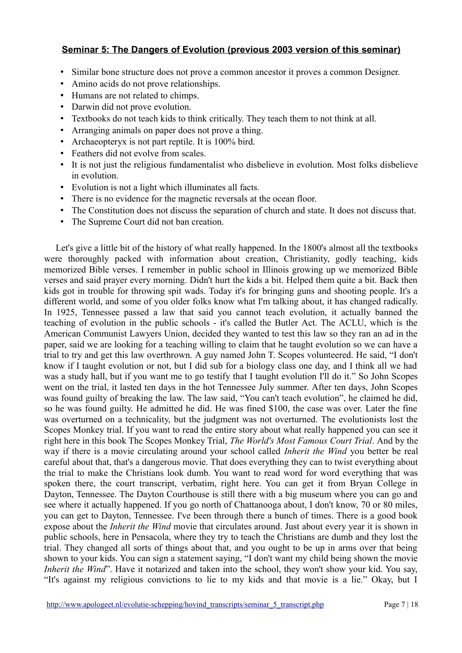- Similar bone structure does not prove a common ancestor it proves a common Designer.
- Amino acids do not prove relationships.
- Humans are not related to chimps.
- Darwin did not prove evolution.
- Textbooks do not teach kids to think critically. They teach them to not think at all.
- Arranging animals on paper does not prove a thing.
- Archaeopteryx is not part reptile. It is 100% bird.
- Feathers did not evolve from scales.
- It is not just the religious fundamentalist who disbelieve in evolution. Most folks disbelieve in evolution.
- Evolution is not a light which illuminates all facts.
- There is no evidence for the magnetic reversals at the ocean floor.
- The Constitution does not discuss the separation of church and state. It does not discuss that.
- The Supreme Court did not ban creation.

Let's give a little bit of the history of what really happened. In the 1800's almost all the textbooks were thoroughly packed with information about creation, Christianity, godly teaching, kids memorized Bible verses. I remember in public school in Illinois growing up we memorized Bible verses and said prayer every morning. Didn't hurt the kids a bit. Helped them quite a bit. Back then kids got in trouble for throwing spit wads. Today it's for bringing guns and shooting people. It's a different world, and some of you older folks know what I'm talking about, it has changed radically. In 1925, Tennessee passed a law that said you cannot teach evolution, it actually banned the teaching of evolution in the public schools - it's called the Butler Act. The ACLU, which is the American Communist Lawyers Union, decided they wanted to test this law so they ran an ad in the paper, said we are looking for a teaching willing to claim that he taught evolution so we can have a trial to try and get this law overthrown. A guy named John T. Scopes volunteered. He said, "I don't know if I taught evolution or not, but I did sub for a biology class one day, and I think all we had was a study hall, but if you want me to go testify that I taught evolution I'll do it." So John Scopes went on the trial, it lasted ten days in the hot Tennessee July summer. After ten days, John Scopes was found guilty of breaking the law. The law said, "You can't teach evolution", he claimed he did, so he was found guilty. He admitted he did. He was fined \$100, the case was over. Later the fine was overturned on a technicality, but the judgment was not overturned. The evolutionists lost the Scopes Monkey trial. If you want to read the entire story about what really happened you can see it right here in this book The Scopes Monkey Trial, *The World's Most Famous Court Trial*. And by the way if there is a movie circulating around your school called *Inherit the Wind* you better be real careful about that, that's a dangerous movie. That does everything they can to twist everything about the trial to make the Christians look dumb. You want to read word for word everything that was spoken there, the court transcript, verbatim, right here. You can get it from Bryan College in Dayton, Tennessee. The Dayton Courthouse is still there with a big museum where you can go and see where it actually happened. If you go north of Chattanooga about, I don't know, 70 or 80 miles, you can get to Dayton, Tennessee. I've been through there a bunch of times. There is a good book expose about the *Inherit the Wind* movie that circulates around. Just about every year it is shown in public schools, here in Pensacola, where they try to teach the Christians are dumb and they lost the trial. They changed all sorts of things about that, and you ought to be up in arms over that being shown to your kids. You can sign a statement saying, "I don't want my child being shown the movie *Inherit the Wind*". Have it notarized and taken into the school, they won't show your kid. You say, "It's against my religious convictions to lie to my kids and that movie is a lie." Okay, but I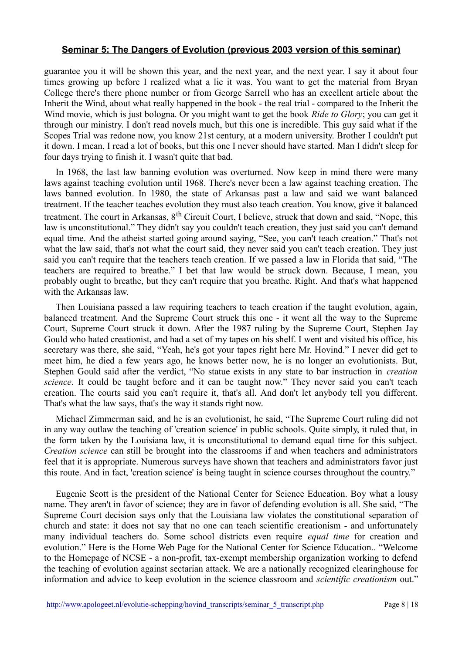guarantee you it will be shown this year, and the next year, and the next year. I say it about four times growing up before I realized what a lie it was. You want to get the material from Bryan College there's there phone number or from George Sarrell who has an excellent article about the Inherit the Wind, about what really happened in the book - the real trial - compared to the Inherit the Wind movie, which is just bologna. Or you might want to get the book *Ride to Glory*; you can get it through our ministry. I don't read novels much, but this one is incredible. This guy said what if the Scopes Trial was redone now, you know 21st century, at a modern university. Brother I couldn't put it down. I mean, I read a lot of books, but this one I never should have started. Man I didn't sleep for four days trying to finish it. I wasn't quite that bad.

In 1968, the last law banning evolution was overturned. Now keep in mind there were many laws against teaching evolution until 1968. There's never been a law against teaching creation. The laws banned evolution. In 1980, the state of Arkansas past a law and said we want balanced treatment. If the teacher teaches evolution they must also teach creation. You know, give it balanced treatment. The court in Arkansas, 8<sup>th</sup> Circuit Court, I believe, struck that down and said, "Nope, this law is unconstitutional." They didn't say you couldn't teach creation, they just said you can't demand equal time. And the atheist started going around saying, "See, you can't teach creation." That's not what the law said, that's not what the court said, they never said you can't teach creation. They just said you can't require that the teachers teach creation. If we passed a law in Florida that said, "The teachers are required to breathe." I bet that law would be struck down. Because, I mean, you probably ought to breathe, but they can't require that you breathe. Right. And that's what happened with the Arkansas law.

Then Louisiana passed a law requiring teachers to teach creation if the taught evolution, again, balanced treatment. And the Supreme Court struck this one - it went all the way to the Supreme Court, Supreme Court struck it down. After the 1987 ruling by the Supreme Court, Stephen Jay Gould who hated creationist, and had a set of my tapes on his shelf. I went and visited his office, his secretary was there, she said, "Yeah, he's got your tapes right here Mr. Hovind." I never did get to meet him, he died a few years ago, he knows better now, he is no longer an evolutionists. But, Stephen Gould said after the verdict, "No statue exists in any state to bar instruction in *creation science*. It could be taught before and it can be taught now." They never said you can't teach creation. The courts said you can't require it, that's all. And don't let anybody tell you different. That's what the law says, that's the way it stands right now.

Michael Zimmerman said, and he is an evolutionist, he said, "The Supreme Court ruling did not in any way outlaw the teaching of 'creation science' in public schools. Quite simply, it ruled that, in the form taken by the Louisiana law, it is unconstitutional to demand equal time for this subject. *Creation science* can still be brought into the classrooms if and when teachers and administrators feel that it is appropriate. Numerous surveys have shown that teachers and administrators favor just this route. And in fact, 'creation science' is being taught in science courses throughout the country."

Eugenie Scott is the president of the National Center for Science Education. Boy what a lousy name. They aren't in favor of science; they are in favor of defending evolution is all. She said, "The Supreme Court decision says only that the Louisiana law violates the constitutional separation of church and state: it does not say that no one can teach scientific creationism - and unfortunately many individual teachers do. Some school districts even require *equal time* for creation and evolution." Here is the Home Web Page for the National Center for Science Education.. "Welcome to the Homepage of NCSE - a non-profit, tax-exempt membership organization working to defend the teaching of evolution against sectarian attack. We are a nationally recognized clearinghouse for information and advice to keep evolution in the science classroom and *scientific creationism* out."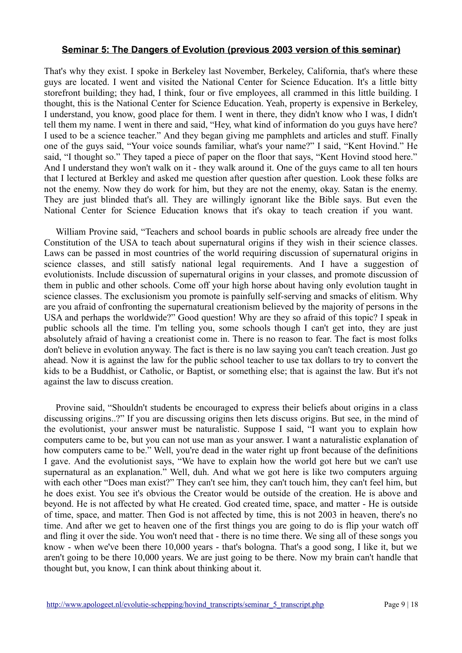That's why they exist. I spoke in Berkeley last November, Berkeley, California, that's where these guys are located. I went and visited the National Center for Science Education. It's a little bitty storefront building; they had, I think, four or five employees, all crammed in this little building. I thought, this is the National Center for Science Education. Yeah, property is expensive in Berkeley, I understand, you know, good place for them. I went in there, they didn't know who I was, I didn't tell them my name. I went in there and said, "Hey, what kind of information do you guys have here? I used to be a science teacher." And they began giving me pamphlets and articles and stuff. Finally one of the guys said, "Your voice sounds familiar, what's your name?" I said, "Kent Hovind." He said, "I thought so." They taped a piece of paper on the floor that says, "Kent Hovind stood here." And I understand they won't walk on it - they walk around it. One of the guys came to all ten hours that I lectured at Berkley and asked me question after question after question. Look these folks are not the enemy. Now they do work for him, but they are not the enemy, okay. Satan is the enemy. They are just blinded that's all. They are willingly ignorant like the Bible says. But even the National Center for Science Education knows that it's okay to teach creation if you want.

William Provine said, "Teachers and school boards in public schools are already free under the Constitution of the USA to teach about supernatural origins if they wish in their science classes. Laws can be passed in most countries of the world requiring discussion of supernatural origins in science classes, and still satisfy national legal requirements. And I have a suggestion of evolutionists. Include discussion of supernatural origins in your classes, and promote discussion of them in public and other schools. Come off your high horse about having only evolution taught in science classes. The exclusionism you promote is painfully self-serving and smacks of elitism. Why are you afraid of confronting the supernatural creationism believed by the majority of persons in the USA and perhaps the worldwide?" Good question! Why are they so afraid of this topic? I speak in public schools all the time. I'm telling you, some schools though I can't get into, they are just absolutely afraid of having a creationist come in. There is no reason to fear. The fact is most folks don't believe in evolution anyway. The fact is there is no law saying you can't teach creation. Just go ahead. Now it is against the law for the public school teacher to use tax dollars to try to convert the kids to be a Buddhist, or Catholic, or Baptist, or something else; that is against the law. But it's not against the law to discuss creation.

Provine said, "Shouldn't students be encouraged to express their beliefs about origins in a class discussing origins..?" If you are discussing origins then lets discuss origins. But see, in the mind of the evolutionist, your answer must be naturalistic. Suppose I said, "I want you to explain how computers came to be, but you can not use man as your answer. I want a naturalistic explanation of how computers came to be." Well, you're dead in the water right up front because of the definitions I gave. And the evolutionist says, "We have to explain how the world got here but we can't use supernatural as an explanation." Well, duh. And what we got here is like two computers arguing with each other "Does man exist?" They can't see him, they can't touch him, they can't feel him, but he does exist. You see it's obvious the Creator would be outside of the creation. He is above and beyond. He is not affected by what He created. God created time, space, and matter - He is outside of time, space, and matter. Then God is not affected by time, this is not 2003 in heaven, there's no time. And after we get to heaven one of the first things you are going to do is flip your watch off and fling it over the side. You won't need that - there is no time there. We sing all of these songs you know - when we've been there 10,000 years - that's bologna. That's a good song, I like it, but we aren't going to be there 10,000 years. We are just going to be there. Now my brain can't handle that thought but, you know, I can think about thinking about it.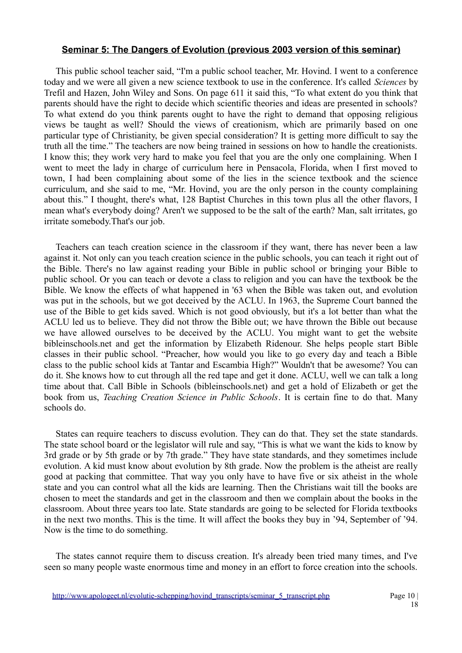This public school teacher said, "I'm a public school teacher, Mr. Hovind. I went to a conference today and we were all given a new science textbook to use in the conference. It's called *Sciences* by Trefil and Hazen, John Wiley and Sons. On page 611 it said this, "To what extent do you think that parents should have the right to decide which scientific theories and ideas are presented in schools? To what extend do you think parents ought to have the right to demand that opposing religious views be taught as well? Should the views of creationism, which are primarily based on one particular type of Christianity, be given special consideration? It is getting more difficult to say the truth all the time." The teachers are now being trained in sessions on how to handle the creationists. I know this; they work very hard to make you feel that you are the only one complaining. When I went to meet the lady in charge of curriculum here in Pensacola, Florida, when I first moved to town, I had been complaining about some of the lies in the science textbook and the science curriculum, and she said to me, "Mr. Hovind, you are the only person in the county complaining about this." I thought, there's what, 128 Baptist Churches in this town plus all the other flavors, I mean what's everybody doing? Aren't we supposed to be the salt of the earth? Man, salt irritates, go irritate somebody.That's our job.

Teachers can teach creation science in the classroom if they want, there has never been a law against it. Not only can you teach creation science in the public schools, you can teach it right out of the Bible. There's no law against reading your Bible in public school or bringing your Bible to public school. Or you can teach or devote a class to religion and you can have the textbook be the Bible. We know the effects of what happened in '63 when the Bible was taken out, and evolution was put in the schools, but we got deceived by the ACLU. In 1963, the Supreme Court banned the use of the Bible to get kids saved. Which is not good obviously, but it's a lot better than what the ACLU led us to believe. They did not throw the Bible out; we have thrown the Bible out because we have allowed ourselves to be deceived by the ACLU. You might want to get the website bibleinschools.net and get the information by Elizabeth Ridenour. She helps people start Bible classes in their public school. "Preacher, how would you like to go every day and teach a Bible class to the public school kids at Tantar and Escambia High?" Wouldn't that be awesome? You can do it. She knows how to cut through all the red tape and get it done. ACLU, well we can talk a long time about that. Call Bible in Schools (bibleinschools.net) and get a hold of Elizabeth or get the book from us, *Teaching Creation Science in Public Schools*. It is certain fine to do that. Many schools do.

States can require teachers to discuss evolution. They can do that. They set the state standards. The state school board or the legislator will rule and say, "This is what we want the kids to know by 3rd grade or by 5th grade or by 7th grade." They have state standards, and they sometimes include evolution. A kid must know about evolution by 8th grade. Now the problem is the atheist are really good at packing that committee. That way you only have to have five or six atheist in the whole state and you can control what all the kids are learning. Then the Christians wait till the books are chosen to meet the standards and get in the classroom and then we complain about the books in the classroom. About three years too late. State standards are going to be selected for Florida textbooks in the next two months. This is the time. It will affect the books they buy in '94, September of '94. Now is the time to do something.

The states cannot require them to discuss creation. It's already been tried many times, and I've seen so many people waste enormous time and money in an effort to force creation into the schools.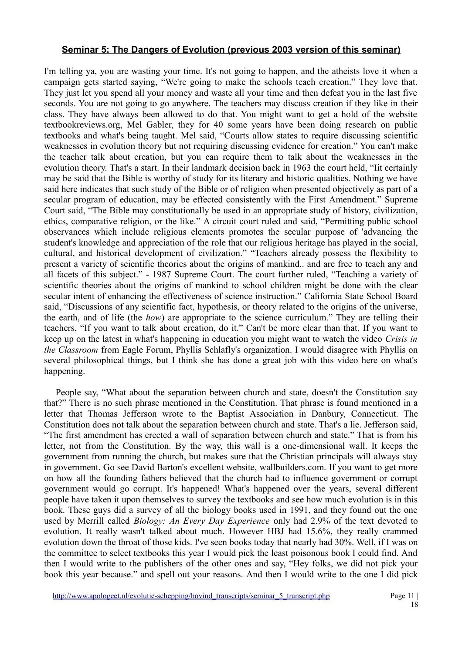I'm telling ya, you are wasting your time. It's not going to happen, and the atheists love it when a campaign gets started saying, "We're going to make the schools teach creation." They love that. They just let you spend all your money and waste all your time and then defeat you in the last five seconds. You are not going to go anywhere. The teachers may discuss creation if they like in their class. They have always been allowed to do that. You might want to get a hold of the website textbookreviews.org, Mel Gabler, they for 40 some years have been doing research on public textbooks and what's being taught. Mel said, "Courts allow states to require discussing scientific weaknesses in evolution theory but not requiring discussing evidence for creation." You can't make the teacher talk about creation, but you can require them to talk about the weaknesses in the evolution theory. That's a start. In their landmark decision back in 1963 the court held, "Iit certainly may be said that the Bible is worthy of study for its literary and historic qualities. Nothing we have said here indicates that such study of the Bible or of religion when presented objectively as part of a secular program of education, may be effected consistently with the First Amendment." Supreme Court said, "The Bible may constitutionally be used in an appropriate study of history, civilization, ethics, comparative religion, or the like." A circuit court ruled and said, "Permitting public school observances which include religious elements promotes the secular purpose of 'advancing the student's knowledge and appreciation of the role that our religious heritage has played in the social, cultural, and historical development of civilization." "Teachers already possess the flexibility to present a variety of scientific theories about the origins of mankind.. and are free to teach any and all facets of this subject." - 1987 Supreme Court. The court further ruled, "Teaching a variety of scientific theories about the origins of mankind to school children might be done with the clear secular intent of enhancing the effectiveness of science instruction." California State School Board said, "Discussions of any scientific fact, hypothesis, or theory related to the origins of the universe, the earth, and of life (the *how*) are appropriate to the science curriculum." They are telling their teachers, "If you want to talk about creation, do it." Can't be more clear than that. If you want to keep up on the latest in what's happening in education you might want to watch the video *Crisis in the Classroom* from Eagle Forum, Phyllis Schlafly's organization. I would disagree with Phyllis on several philosophical things, but I think she has done a great job with this video here on what's happening.

People say, "What about the separation between church and state, doesn't the Constitution say that?" There is no such phrase mentioned in the Constitution. That phrase is found mentioned in a letter that Thomas Jefferson wrote to the Baptist Association in Danbury, Connecticut. The Constitution does not talk about the separation between church and state. That's a lie. Jefferson said, "The first amendment has erected a wall of separation between church and state." That is from his letter, not from the Constitution. By the way, this wall is a one-dimensional wall. It keeps the government from running the church, but makes sure that the Christian principals will always stay in government. Go see David Barton's excellent website, wallbuilders.com. If you want to get more on how all the founding fathers believed that the church had to influence government or corrupt government would go corrupt. It's happened! What's happened over the years, several different people have taken it upon themselves to survey the textbooks and see how much evolution is in this book. These guys did a survey of all the biology books used in 1991, and they found out the one used by Merrill called *Biology: An Every Day Experience* only had 2.9% of the text devoted to evolution. It really wasn't talked about much. However HBJ had 15.6%, they really crammed evolution down the throat of those kids. I've seen books today that nearly had 30%. Well, if I was on the committee to select textbooks this year I would pick the least poisonous book I could find. And then I would write to the publishers of the other ones and say, "Hey folks, we did not pick your book this year because." and spell out your reasons. And then I would write to the one I did pick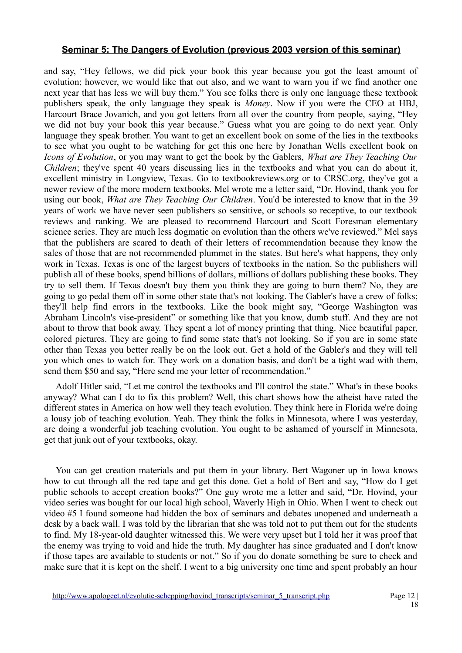and say, "Hey fellows, we did pick your book this year because you got the least amount of evolution; however, we would like that out also, and we want to warn you if we find another one next year that has less we will buy them." You see folks there is only one language these textbook publishers speak, the only language they speak is *Money*. Now if you were the CEO at HBJ, Harcourt Brace Jovanich, and you got letters from all over the country from people, saying, "Hey we did not buy your book this year because." Guess what you are going to do next year. Only language they speak brother. You want to get an excellent book on some of the lies in the textbooks to see what you ought to be watching for get this one here by Jonathan Wells excellent book on *Icons of Evolution*, or you may want to get the book by the Gablers, *What are They Teaching Our Children*; they've spent 40 years discussing lies in the textbooks and what you can do about it, excellent ministry in Longview, Texas. Go to textbookreviews.org or to CRSC.org, they've got a newer review of the more modern textbooks. Mel wrote me a letter said, "Dr. Hovind, thank you for using our book, *What are They Teaching Our Children*. You'd be interested to know that in the 39 years of work we have never seen publishers so sensitive, or schools so receptive, to our textbook reviews and ranking. We are pleased to recommend Harcourt and Scott Foresman elementary science series. They are much less dogmatic on evolution than the others we've reviewed." Mel says that the publishers are scared to death of their letters of recommendation because they know the sales of those that are not recommended plummet in the states. But here's what happens, they only work in Texas. Texas is one of the largest buyers of textbooks in the nation. So the publishers will publish all of these books, spend billions of dollars, millions of dollars publishing these books. They try to sell them. If Texas doesn't buy them you think they are going to burn them? No, they are going to go pedal them off in some other state that's not looking. The Gabler's have a crew of folks; they'll help find errors in the textbooks. Like the book might say, "George Washington was Abraham Lincoln's vise-president" or something like that you know, dumb stuff. And they are not about to throw that book away. They spent a lot of money printing that thing. Nice beautiful paper, colored pictures. They are going to find some state that's not looking. So if you are in some state other than Texas you better really be on the look out. Get a hold of the Gabler's and they will tell you which ones to watch for. They work on a donation basis, and don't be a tight wad with them, send them \$50 and say, "Here send me your letter of recommendation."

Adolf Hitler said, "Let me control the textbooks and I'll control the state." What's in these books anyway? What can I do to fix this problem? Well, this chart shows how the atheist have rated the different states in America on how well they teach evolution. They think here in Florida we're doing a lousy job of teaching evolution. Yeah. They think the folks in Minnesota, where I was yesterday, are doing a wonderful job teaching evolution. You ought to be ashamed of yourself in Minnesota, get that junk out of your textbooks, okay.

You can get creation materials and put them in your library. Bert Wagoner up in Iowa knows how to cut through all the red tape and get this done. Get a hold of Bert and say, "How do I get public schools to accept creation books?" One guy wrote me a letter and said, "Dr. Hovind, your video series was bought for our local high school, Waverly High in Ohio. When I went to check out video #5 I found someone had hidden the box of seminars and debates unopened and underneath a desk by a back wall. I was told by the librarian that she was told not to put them out for the students to find. My 18-year-old daughter witnessed this. We were very upset but I told her it was proof that the enemy was trying to void and hide the truth. My daughter has since graduated and I don't know if those tapes are available to students or not." So if you do donate something be sure to check and make sure that it is kept on the shelf. I went to a big university one time and spent probably an hour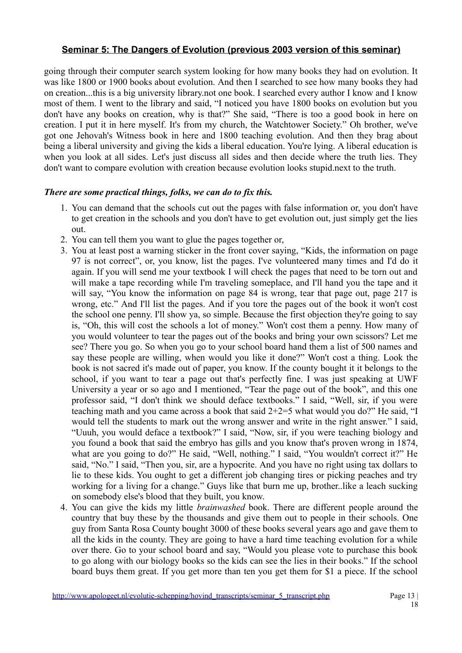going through their computer search system looking for how many books they had on evolution. It was like 1800 or 1900 books about evolution. And then I searched to see how many books they had on creation...this is a big university library.not one book. I searched every author I know and I know most of them. I went to the library and said, "I noticed you have 1800 books on evolution but you don't have any books on creation, why is that?" She said, "There is too a good book in here on creation. I put it in here myself. It's from my church, the Watchtower Society." Oh brother, we've got one Jehovah's Witness book in here and 1800 teaching evolution. And then they brag about being a liberal university and giving the kids a liberal education. You're lying. A liberal education is when you look at all sides. Let's just discuss all sides and then decide where the truth lies. They don't want to compare evolution with creation because evolution looks stupid.next to the truth.

# *There are some practical things, folks, we can do to fix this.*

- 1. You can demand that the schools cut out the pages with false information or, you don't have to get creation in the schools and you don't have to get evolution out, just simply get the lies out.
- 2. You can tell them you want to glue the pages together or,
- 3. You at least post a warning sticker in the front cover saying, "Kids, the information on page 97 is not correct", or, you know, list the pages. I've volunteered many times and I'd do it again. If you will send me your textbook I will check the pages that need to be torn out and will make a tape recording while I'm traveling someplace, and I'll hand you the tape and it will say, "You know the information on page 84 is wrong, tear that page out, page 217 is wrong, etc." And I'll list the pages. And if you tore the pages out of the book it won't cost the school one penny. I'll show ya, so simple. Because the first objection they're going to say is, "Oh, this will cost the schools a lot of money." Won't cost them a penny. How many of you would volunteer to tear the pages out of the books and bring your own scissors? Let me see? There you go. So when you go to your school board hand them a list of 500 names and say these people are willing, when would you like it done?" Won't cost a thing. Look the book is not sacred it's made out of paper, you know. If the county bought it it belongs to the school, if you want to tear a page out that's perfectly fine. I was just speaking at UWF University a year or so ago and I mentioned, "Tear the page out of the book", and this one professor said, "I don't think we should deface textbooks." I said, "Well, sir, if you were teaching math and you came across a book that said 2+2=5 what would you do?" He said, "I would tell the students to mark out the wrong answer and write in the right answer." I said, "Uuuh, you would deface a textbook?" I said, "Now, sir, if you were teaching biology and you found a book that said the embryo has gills and you know that's proven wrong in 1874, what are you going to do?" He said, "Well, nothing." I said, "You wouldn't correct it?" He said, "No." I said, "Then you, sir, are a hypocrite. And you have no right using tax dollars to lie to these kids. You ought to get a different job changing tires or picking peaches and try working for a living for a change." Guys like that burn me up, brother..like a leach sucking on somebody else's blood that they built, you know.
- 4. You can give the kids my little *brainwashed* book. There are different people around the country that buy these by the thousands and give them out to people in their schools. One guy from Santa Rosa County bought 3000 of these books several years ago and gave them to all the kids in the county. They are going to have a hard time teaching evolution for a while over there. Go to your school board and say, "Would you please vote to purchase this book to go along with our biology books so the kids can see the lies in their books." If the school board buys them great. If you get more than ten you get them for \$1 a piece. If the school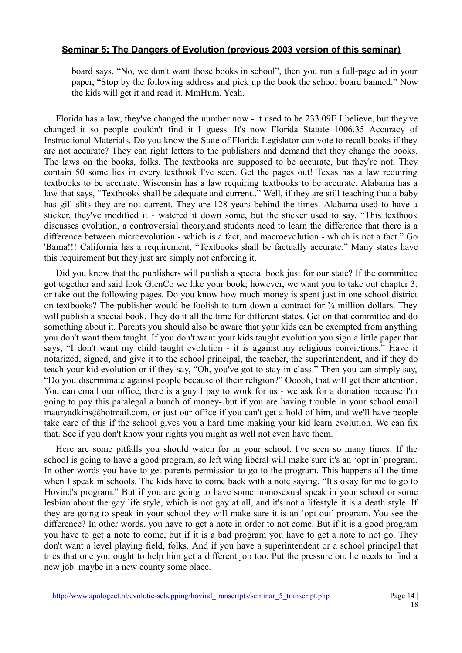board says, "No, we don't want those books in school", then you run a full-page ad in your paper, "Stop by the following address and pick up the book the school board banned." Now the kids will get it and read it. MmHum, Yeah.

Florida has a law, they've changed the number now - it used to be 233.09E I believe, but they've changed it so people couldn't find it I guess. It's now Florida Statute 1006.35 Accuracy of Instructional Materials. Do you know the State of Florida Legislator can vote to recall books if they are not accurate? They can right letters to the publishers and demand that they change the books. The laws on the books, folks. The textbooks are supposed to be accurate, but they're not. They contain 50 some lies in every textbook I've seen. Get the pages out! Texas has a law requiring textbooks to be accurate. Wisconsin has a law requiring textbooks to be accurate. Alabama has a law that says, "Textbooks shall be adequate and current.." Well, if they are still teaching that a baby has gill slits they are not current. They are 128 years behind the times. Alabama used to have a sticker, they've modified it - watered it down some, but the sticker used to say, "This textbook discusses evolution, a controversial theory.and students need to learn the difference that there is a difference between microevolution - which is a fact, and macroevolution - which is not a fact." Go 'Bama!!! California has a requirement, "Textbooks shall be factually accurate." Many states have this requirement but they just are simply not enforcing it.

Did you know that the publishers will publish a special book just for our state? If the committee got together and said look GlenCo we like your book; however, we want you to take out chapter 3, or take out the following pages. Do you know how much money is spent just in one school district on textbooks? The publisher would be foolish to turn down a contract for  $\frac{3}{4}$  million dollars. They will publish a special book. They do it all the time for different states. Get on that committee and do something about it. Parents you should also be aware that your kids can be exempted from anything you don't want them taught. If you don't want your kids taught evolution you sign a little paper that says, "I don't want my child taught evolution - it is against my religious convictions." Have it notarized, signed, and give it to the school principal, the teacher, the superintendent, and if they do teach your kid evolution or if they say, "Oh, you've got to stay in class." Then you can simply say, "Do you discriminate against people because of their religion?" Ooooh, that will get their attention. You can email our office, there is a guy I pay to work for us - we ask for a donation because I'm going to pay this paralegal a bunch of money- but if you are having trouble in your school email mauryadkins@hotmail.com, or just our office if you can't get a hold of him, and we'll have people take care of this if the school gives you a hard time making your kid learn evolution. We can fix that. See if you don't know your rights you might as well not even have them.

Here are some pitfalls you should watch for in your school. I've seen so many times: If the school is going to have a good program, so left wing liberal will make sure it's an 'opt in' program. In other words you have to get parents permission to go to the program. This happens all the time when I speak in schools. The kids have to come back with a note saying, "It's okay for me to go to Hovind's program." But if you are going to have some homosexual speak in your school or some lesbian about the gay life style, which is not gay at all, and it's not a lifestyle it is a death style. If they are going to speak in your school they will make sure it is an 'opt out' program. You see the difference? In other words, you have to get a note in order to not come. But if it is a good program you have to get a note to come, but if it is a bad program you have to get a note to not go. They don't want a level playing field, folks. And if you have a superintendent or a school principal that tries that one you ought to help him get a different job too. Put the pressure on, he needs to find a new job. maybe in a new county some place.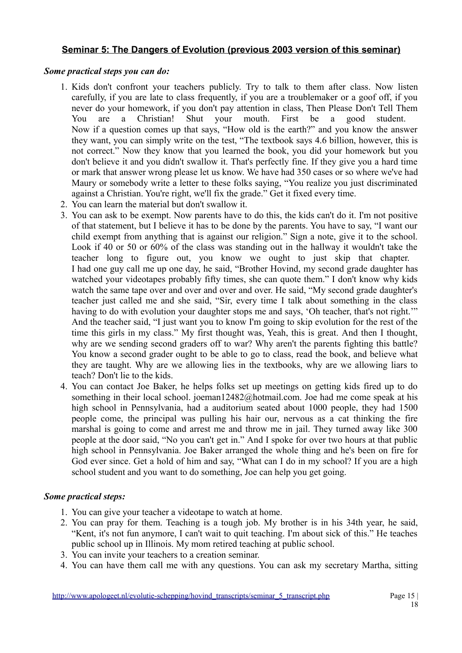# *Some practical steps you can do:*

- 1. Kids don't confront your teachers publicly. Try to talk to them after class. Now listen carefully, if you are late to class frequently, if you are a troublemaker or a goof off, if you never do your homework, if you don't pay attention in class, Then Please Don't Tell Them You are a Christian! Shut your mouth. First be a good student. Now if a question comes up that says, "How old is the earth?" and you know the answer they want, you can simply write on the test, "The textbook says 4.6 billion, however, this is not correct." Now they know that you learned the book, you did your homework but you don't believe it and you didn't swallow it. That's perfectly fine. If they give you a hard time or mark that answer wrong please let us know. We have had 350 cases or so where we've had Maury or somebody write a letter to these folks saying, "You realize you just discriminated against a Christian. You're right, we'll fix the grade." Get it fixed every time.
- 2. You can learn the material but don't swallow it.
- 3. You can ask to be exempt. Now parents have to do this, the kids can't do it. I'm not positive of that statement, but I believe it has to be done by the parents. You have to say, "I want our child exempt from anything that is against our religion." Sign a note, give it to the school. Look if 40 or 50 or 60% of the class was standing out in the hallway it wouldn't take the teacher long to figure out, you know we ought to just skip that chapter. I had one guy call me up one day, he said, "Brother Hovind, my second grade daughter has watched your videotapes probably fifty times, she can quote them." I don't know why kids watch the same tape over and over and over and over. He said, "My second grade daughter's teacher just called me and she said, "Sir, every time I talk about something in the class having to do with evolution your daughter stops me and says, 'Oh teacher, that's not right.'" And the teacher said, "I just want you to know I'm going to skip evolution for the rest of the time this girls in my class." My first thought was, Yeah, this is great. And then I thought, why are we sending second graders off to war? Why aren't the parents fighting this battle? You know a second grader ought to be able to go to class, read the book, and believe what they are taught. Why are we allowing lies in the textbooks, why are we allowing liars to teach? Don't lie to the kids.
- 4. You can contact Joe Baker, he helps folks set up meetings on getting kids fired up to do something in their local school. joeman12482@hotmail.com. Joe had me come speak at his high school in Pennsylvania, had a auditorium seated about 1000 people, they had 1500 people come, the principal was pulling his hair our, nervous as a cat thinking the fire marshal is going to come and arrest me and throw me in jail. They turned away like 300 people at the door said, "No you can't get in." And I spoke for over two hours at that public high school in Pennsylvania. Joe Baker arranged the whole thing and he's been on fire for God ever since. Get a hold of him and say, "What can I do in my school? If you are a high school student and you want to do something, Joe can help you get going.

## *Some practical steps:*

- 1. You can give your teacher a videotape to watch at home.
- 2. You can pray for them. Teaching is a tough job. My brother is in his 34th year, he said, "Kent, it's not fun anymore, I can't wait to quit teaching. I'm about sick of this." He teaches public school up in Illinois. My mom retired teaching at public school.
- 3. You can invite your teachers to a creation seminar.
- 4. You can have them call me with any questions. You can ask my secretary Martha, sitting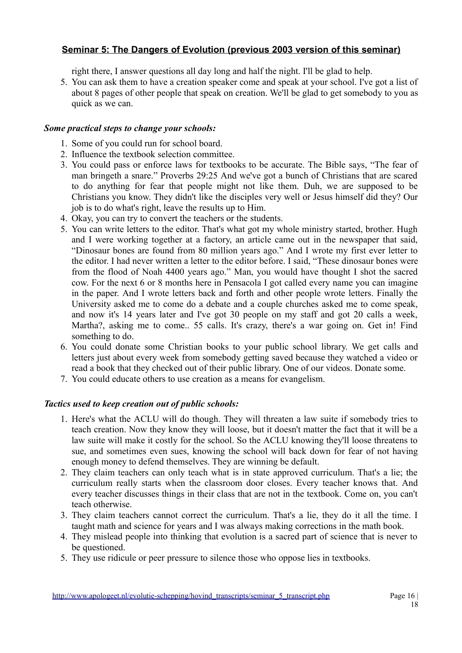right there, I answer questions all day long and half the night. I'll be glad to help.

5. You can ask them to have a creation speaker come and speak at your school. I've got a list of about 8 pages of other people that speak on creation. We'll be glad to get somebody to you as quick as we can.

# *Some practical steps to change your schools:*

- 1. Some of you could run for school board.
- 2. Influence the textbook selection committee.
- 3. You could pass or enforce laws for textbooks to be accurate. The Bible says, "The fear of man bringeth a snare." Proverbs 29:25 And we've got a bunch of Christians that are scared to do anything for fear that people might not like them. Duh, we are supposed to be Christians you know. They didn't like the disciples very well or Jesus himself did they? Our job is to do what's right, leave the results up to Him.
- 4. Okay, you can try to convert the teachers or the students.
- 5. You can write letters to the editor. That's what got my whole ministry started, brother. Hugh and I were working together at a factory, an article came out in the newspaper that said, "Dinosaur bones are found from 80 million years ago." And I wrote my first ever letter to the editor. I had never written a letter to the editor before. I said, "These dinosaur bones were from the flood of Noah 4400 years ago." Man, you would have thought I shot the sacred cow. For the next 6 or 8 months here in Pensacola I got called every name you can imagine in the paper. And I wrote letters back and forth and other people wrote letters. Finally the University asked me to come do a debate and a couple churches asked me to come speak, and now it's 14 years later and I've got 30 people on my staff and got 20 calls a week, Martha?, asking me to come.. 55 calls. It's crazy, there's a war going on. Get in! Find something to do.
- 6. You could donate some Christian books to your public school library. We get calls and letters just about every week from somebody getting saved because they watched a video or read a book that they checked out of their public library. One of our videos. Donate some.
- 7. You could educate others to use creation as a means for evangelism.

# *Tactics used to keep creation out of public schools:*

- 1. Here's what the ACLU will do though. They will threaten a law suite if somebody tries to teach creation. Now they know they will loose, but it doesn't matter the fact that it will be a law suite will make it costly for the school. So the ACLU knowing they'll loose threatens to sue, and sometimes even sues, knowing the school will back down for fear of not having enough money to defend themselves. They are winning be default.
- 2. They claim teachers can only teach what is in state approved curriculum. That's a lie; the curriculum really starts when the classroom door closes. Every teacher knows that. And every teacher discusses things in their class that are not in the textbook. Come on, you can't teach otherwise.
- 3. They claim teachers cannot correct the curriculum. That's a lie, they do it all the time. I taught math and science for years and I was always making corrections in the math book.
- 4. They mislead people into thinking that evolution is a sacred part of science that is never to be questioned.
- 5. They use ridicule or peer pressure to silence those who oppose lies in textbooks.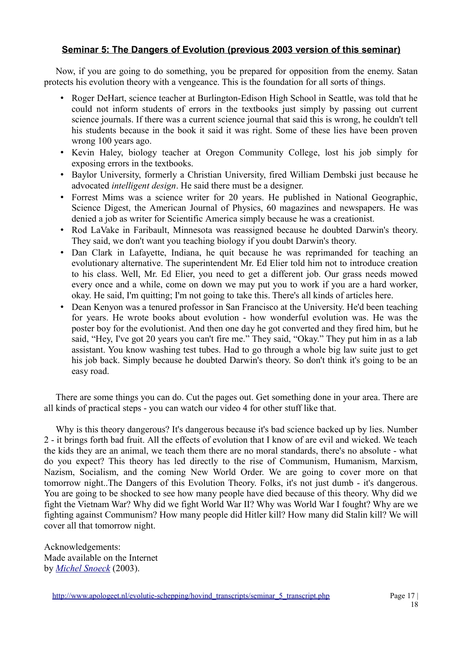Now, if you are going to do something, you be prepared for opposition from the enemy. Satan protects his evolution theory with a vengeance. This is the foundation for all sorts of things.

- Roger DeHart, science teacher at Burlington-Edison High School in Seattle, was told that he could not inform students of errors in the textbooks just simply by passing out current science journals. If there was a current science journal that said this is wrong, he couldn't tell his students because in the book it said it was right. Some of these lies have been proven wrong 100 years ago.
- Kevin Haley, biology teacher at Oregon Community College, lost his job simply for exposing errors in the textbooks.
- Baylor University, formerly a Christian University, fired William Dembski just because he advocated *intelligent design*. He said there must be a designer.
- Forrest Mims was a science writer for 20 years. He published in National Geographic, Science Digest, the American Journal of Physics, 60 magazines and newspapers. He was denied a job as writer for Scientific America simply because he was a creationist.
- Rod LaVake in Faribault, Minnesota was reassigned because he doubted Darwin's theory. They said, we don't want you teaching biology if you doubt Darwin's theory.
- Dan Clark in Lafayette, Indiana, he quit because he was reprimanded for teaching an evolutionary alternative. The superintendent Mr. Ed Elier told him not to introduce creation to his class. Well, Mr. Ed Elier, you need to get a different job. Our grass needs mowed every once and a while, come on down we may put you to work if you are a hard worker, okay. He said, I'm quitting; I'm not going to take this. There's all kinds of articles here.
- Dean Kenyon was a tenured professor in San Francisco at the University. He'd been teaching for years. He wrote books about evolution - how wonderful evolution was. He was the poster boy for the evolutionist. And then one day he got converted and they fired him, but he said, "Hey, I've got 20 years you can't fire me." They said, "Okay." They put him in as a lab assistant. You know washing test tubes. Had to go through a whole big law suite just to get his job back. Simply because he doubted Darwin's theory. So don't think it's going to be an easy road.

There are some things you can do. Cut the pages out. Get something done in your area. There are all kinds of practical steps - you can watch our video 4 for other stuff like that.

Why is this theory dangerous? It's dangerous because it's bad science backed up by lies. Number 2 - it brings forth bad fruit. All the effects of evolution that I know of are evil and wicked. We teach the kids they are an animal, we teach them there are no moral standards, there's no absolute - what do you expect? This theory has led directly to the rise of Communism, Humanism, Marxism, Nazism, Socialism, and the coming New World Order. We are going to cover more on that tomorrow night..The Dangers of this Evolution Theory. Folks, it's not just dumb - it's dangerous. You are going to be shocked to see how many people have died because of this theory. Why did we fight the Vietnam War? Why did we fight World War II? Why was World War I fought? Why are we fighting against Communism? How many people did Hitler kill? How many did Stalin kill? We will cover all that tomorrow night.

Acknowledgements: Made available on the Internet by *Michel Snoeck* (2003).